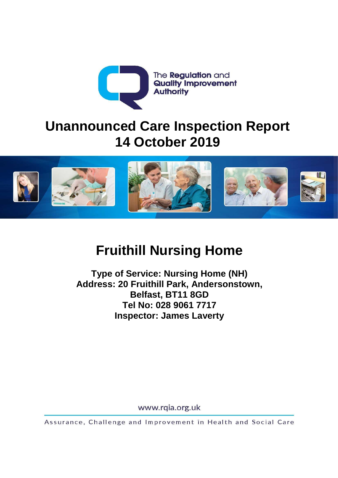

## **Unannounced Care Inspection Report 14 October 2019**



# **Fruithill Nursing Home**

**Type of Service: Nursing Home (NH) Address: 20 Fruithill Park, Andersonstown, Belfast, BT11 8GD Tel No: 028 9061 7717 Inspector: James Laverty**

www.rqia.org.uk

Assurance, Challenge and Improvement in Health and Social Care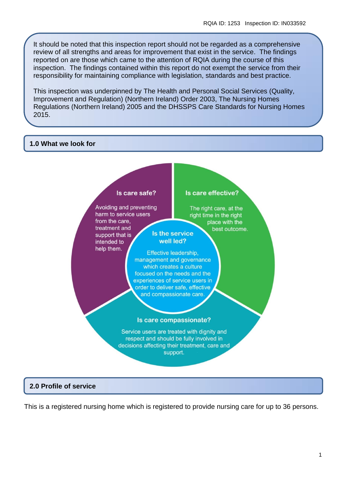It should be noted that this inspection report should not be regarded as a comprehensive review of all strengths and areas for improvement that exist in the service. The findings reported on are those which came to the attention of RQIA during the course of this inspection. The findings contained within this report do not exempt the service from their responsibility for maintaining compliance with legislation, standards and best practice.

This inspection was underpinned by The Health and Personal Social Services (Quality, Improvement and Regulation) (Northern Ireland) Order 2003, The Nursing Homes Regulations (Northern Ireland) 2005 and the DHSSPS Care Standards for Nursing Homes 2015.

#### **1.0 What we look for**



## **2.0 Profile of service**

This is a registered nursing home which is registered to provide nursing care for up to 36 persons.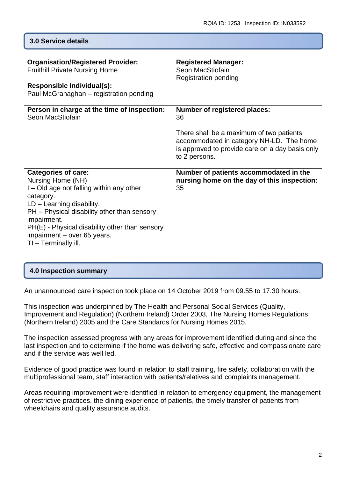## **3.0 Service details**

| <b>Organisation/Registered Provider:</b><br><b>Fruithill Private Nursing Home</b><br>Responsible Individual(s):<br>Paul McGranaghan - registration pending                                                                                                                                                     | <b>Registered Manager:</b><br>Seon MacStiofain<br><b>Registration pending</b>                                                                                                                         |
|----------------------------------------------------------------------------------------------------------------------------------------------------------------------------------------------------------------------------------------------------------------------------------------------------------------|-------------------------------------------------------------------------------------------------------------------------------------------------------------------------------------------------------|
| Person in charge at the time of inspection:<br>Seon MacStiofain                                                                                                                                                                                                                                                | <b>Number of registered places:</b><br>36<br>There shall be a maximum of two patients<br>accommodated in category NH-LD. The home<br>is approved to provide care on a day basis only<br>to 2 persons. |
| <b>Categories of care:</b><br>Nursing Home (NH)<br>I – Old age not falling within any other<br>category.<br>$LD - Learning$ disability.<br>PH - Physical disability other than sensory<br>impairment.<br>PH(E) - Physical disability other than sensory<br>impairment - over 65 years.<br>TI - Terminally ill. | Number of patients accommodated in the<br>nursing home on the day of this inspection:<br>35                                                                                                           |

## **4.0 Inspection summary**

An unannounced care inspection took place on 14 October 2019 from 09.55 to 17.30 hours.

This inspection was underpinned by The Health and Personal Social Services (Quality, Improvement and Regulation) (Northern Ireland) Order 2003, The Nursing Homes Regulations (Northern Ireland) 2005 and the Care Standards for Nursing Homes 2015.

The inspection assessed progress with any areas for improvement identified during and since the last inspection and to determine if the home was delivering safe, effective and compassionate care and if the service was well led.

Evidence of good practice was found in relation to staff training, fire safety, collaboration with the multiprofessional team, staff interaction with patients/relatives and complaints management.

Areas requiring improvement were identified in relation to emergency equipment, the management of restrictive practices, the dining experience of patients, the timely transfer of patients from wheelchairs and quality assurance audits.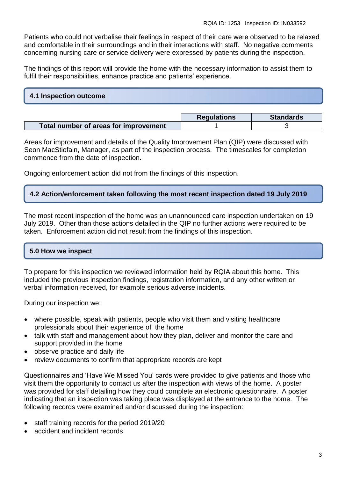Patients who could not verbalise their feelings in respect of their care were observed to be relaxed and comfortable in their surroundings and in their interactions with staff. No negative comments concerning nursing care or service delivery were expressed by patients during the inspection.

The findings of this report will provide the home with the necessary information to assist them to fulfil their responsibilities, enhance practice and patients' experience.

## **4.1 Inspection outcome**

|                                       | <b>Regulations</b> | <b>Standards</b> |
|---------------------------------------|--------------------|------------------|
| Total number of areas for improvement |                    |                  |

Areas for improvement and details of the Quality Improvement Plan (QIP) were discussed with Seon MacStiofain, Manager, as part of the inspection process. The timescales for completion commence from the date of inspection.

Ongoing enforcement action did not from the findings of this inspection.

## **4.2 Action/enforcement taken following the most recent inspection dated 19 July 2019**

The most recent inspection of the home was an unannounced care inspection undertaken on 19 July 2019. Other than those actions detailed in the QIP no further actions were required to be taken. Enforcement action did not result from the findings of this inspection.

## **5.0 How we inspect**

To prepare for this inspection we reviewed information held by RQIA about this home. This included the previous inspection findings, registration information, and any other written or verbal information received, for example serious adverse incidents.

During our inspection we:

- where possible, speak with patients, people who visit them and visiting healthcare professionals about their experience of the home
- talk with staff and management about how they plan, deliver and monitor the care and support provided in the home
- observe practice and daily life
- review documents to confirm that appropriate records are kept

Questionnaires and 'Have We Missed You' cards were provided to give patients and those who visit them the opportunity to contact us after the inspection with views of the home. A poster was provided for staff detailing how they could complete an electronic questionnaire. A poster indicating that an inspection was taking place was displayed at the entrance to the home. The following records were examined and/or discussed during the inspection:

- staff training records for the period 2019/20
- accident and incident records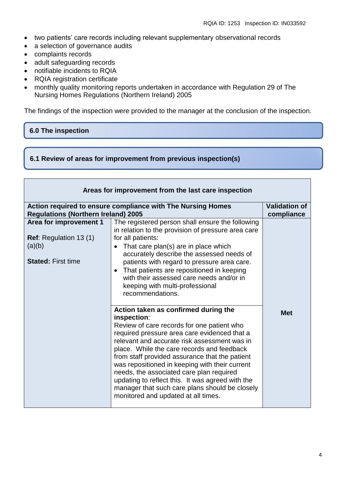- two patients' care records including relevant supplementary observational records
- a selection of governance audits
- complaints records
- adult safeguarding records
- notifiable incidents to RQIA
- RQIA registration certificate
- monthly quality monitoring reports undertaken in accordance with Regulation 29 of The Nursing Homes Regulations (Northern Ireland) 2005

The findings of the inspection were provided to the manager at the conclusion of the inspection.

## **6.0 The inspection**

**6.1 Review of areas for improvement from previous inspection(s)**

| Areas for improvement from the last care inspection                                            |                                                                                                                                                                                                                                                                                                                                                                                                                                                                                                                                                                                                                                                                                                                                                                                                                                                                                                                                                                                |                                    |
|------------------------------------------------------------------------------------------------|--------------------------------------------------------------------------------------------------------------------------------------------------------------------------------------------------------------------------------------------------------------------------------------------------------------------------------------------------------------------------------------------------------------------------------------------------------------------------------------------------------------------------------------------------------------------------------------------------------------------------------------------------------------------------------------------------------------------------------------------------------------------------------------------------------------------------------------------------------------------------------------------------------------------------------------------------------------------------------|------------------------------------|
| <b>Regulations (Northern Ireland) 2005</b>                                                     | Action required to ensure compliance with The Nursing Homes                                                                                                                                                                                                                                                                                                                                                                                                                                                                                                                                                                                                                                                                                                                                                                                                                                                                                                                    | <b>Validation of</b><br>compliance |
| Area for improvement 1<br><b>Ref:</b> Regulation 13 (1)<br>(a)(b)<br><b>Stated: First time</b> | The registered person shall ensure the following<br>in relation to the provision of pressure area care<br>for all patients:<br>That care plan(s) are in place which<br>$\bullet$<br>accurately describe the assessed needs of<br>patients with regard to pressure area care.<br>• That patients are repositioned in keeping<br>with their assessed care needs and/or in<br>keeping with multi-professional<br>recommendations.<br>Action taken as confirmed during the<br>inspection:<br>Review of care records for one patient who<br>required pressure area care evidenced that a<br>relevant and accurate risk assessment was in<br>place. While the care records and feedback<br>from staff provided assurance that the patient<br>was repositioned in keeping with their current<br>needs, the associated care plan required<br>updating to reflect this. It was agreed with the<br>manager that such care plans should be closely<br>monitored and updated at all times. | <b>Met</b>                         |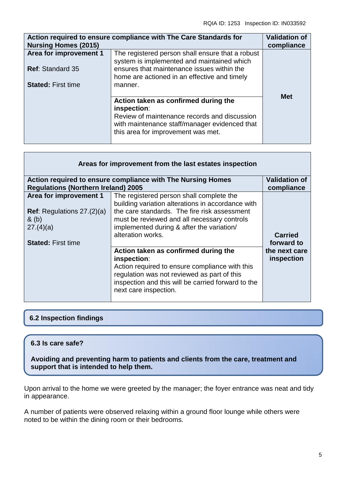| <b>Nursing Homes (2015)</b>                       | Action required to ensure compliance with The Care Standards for                                                                                                                             | <b>Validation of</b><br>compliance |
|---------------------------------------------------|----------------------------------------------------------------------------------------------------------------------------------------------------------------------------------------------|------------------------------------|
| Area for improvement 1<br><b>Ref: Standard 35</b> | The registered person shall ensure that a robust<br>system is implemented and maintained which<br>ensures that maintenance issues within the<br>home are actioned in an effective and timely |                                    |
| <b>Stated: First time</b>                         | manner.                                                                                                                                                                                      |                                    |
|                                                   | Action taken as confirmed during the<br>inspection:<br>Review of maintenance records and discussion<br>with maintenance staff/manager evidenced that<br>this area for improvement was met.   | <b>Met</b>                         |

| Areas for improvement from the last estates inspection |                                                                                                                                                                                                                                     |                             |  |
|--------------------------------------------------------|-------------------------------------------------------------------------------------------------------------------------------------------------------------------------------------------------------------------------------------|-----------------------------|--|
|                                                        | <b>Validation of</b><br>Action required to ensure compliance with The Nursing Homes                                                                                                                                                 |                             |  |
| <b>Regulations (Northern Ireland) 2005</b>             |                                                                                                                                                                                                                                     | compliance                  |  |
| Area for improvement 1                                 | The registered person shall complete the<br>building variation alterations in accordance with                                                                                                                                       |                             |  |
| <b>Ref:</b> Regulations $27.(2)(a)$<br>$\&$ (b)        | the care standards. The fire risk assessment<br>must be reviewed and all necessary controls                                                                                                                                         |                             |  |
| 27.(4)(a)                                              | implemented during & after the variation/<br>alteration works.                                                                                                                                                                      | <b>Carried</b>              |  |
| <b>Stated: First time</b>                              |                                                                                                                                                                                                                                     | forward to                  |  |
|                                                        | Action taken as confirmed during the<br>inspection:<br>Action required to ensure compliance with this<br>regulation was not reviewed as part of this<br>inspection and this will be carried forward to the<br>next care inspection. | the next care<br>inspection |  |

## **6.2 Inspection findings**

## **6.3 Is care safe?**

**Avoiding and preventing harm to patients and clients from the care, treatment and support that is intended to help them.**

Upon arrival to the home we were greeted by the manager; the foyer entrance was neat and tidy in appearance.

A number of patients were observed relaxing within a ground floor lounge while others were noted to be within the dining room or their bedrooms.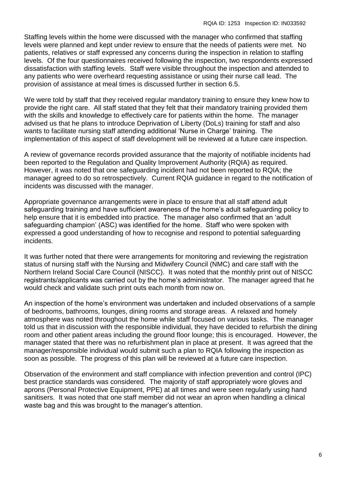Staffing levels within the home were discussed with the manager who confirmed that staffing levels were planned and kept under review to ensure that the needs of patients were met. No patients, relatives or staff expressed any concerns during the inspection in relation to staffing levels. Of the four questionnaires received following the inspection, two respondents expressed dissatisfaction with staffing levels. Staff were visible throughout the inspection and attended to any patients who were overheard requesting assistance or using their nurse call lead. The provision of assistance at meal times is discussed further in section 6.5.

We were told by staff that they received regular mandatory training to ensure they knew how to provide the right care. All staff stated that they felt that their mandatory training provided them with the skills and knowledge to effectively care for patients within the home. The manager advised us that he plans to introduce Deprivation of Liberty (DoLs) training for staff and also wants to facilitate nursing staff attending additional 'Nurse in Charge' training. The implementation of this aspect of staff development will be reviewed at a future care inspection.

A review of governance records provided assurance that the majority of notifiable incidents had been reported to the Regulation and Quality Improvement Authority (RQIA) as required. However, it was noted that one safeguarding incident had not been reported to RQIA; the manager agreed to do so retrospectively. Current RQIA guidance in regard to the notification of incidents was discussed with the manager.

Appropriate governance arrangements were in place to ensure that all staff attend adult safeguarding training and have sufficient awareness of the home's adult safeguarding policy to help ensure that it is embedded into practice. The manager also confirmed that an 'adult safeguarding champion' (ASC) was identified for the home. Staff who were spoken with expressed a good understanding of how to recognise and respond to potential safeguarding incidents.

It was further noted that there were arrangements for monitoring and reviewing the registration status of nursing staff with the Nursing and Midwifery Council (NMC) and care staff with the Northern Ireland Social Care Council (NISCC). It was noted that the monthly print out of NISCC registrants/applicants was carried out by the home's administrator. The manager agreed that he would check and validate such print outs each month from now on.

An inspection of the home's environment was undertaken and included observations of a sample of bedrooms, bathrooms, lounges, dining rooms and storage areas. A relaxed and homely atmosphere was noted throughout the home while staff focused on various tasks. The manager told us that in discussion with the responsible individual, they have decided to refurbish the dining room and other patient areas including the ground floor lounge; this is encouraged. However, the manager stated that there was no refurbishment plan in place at present. It was agreed that the manager/responsible individual would submit such a plan to RQIA following the inspection as soon as possible. The progress of this plan will be reviewed at a future care inspection.

Observation of the environment and staff compliance with infection prevention and control (IPC) best practice standards was considered. The majority of staff appropriately wore gloves and aprons (Personal Protective Equipment, PPE) at all times and were seen regularly using hand sanitisers. It was noted that one staff member did not wear an apron when handling a clinical waste bag and this was brought to the manager's attention.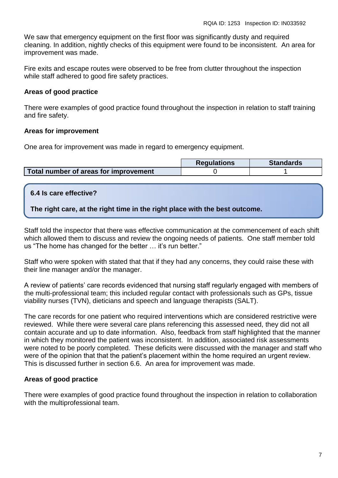We saw that emergency equipment on the first floor was significantly dusty and required cleaning. In addition, nightly checks of this equipment were found to be inconsistent. An area for improvement was made.

Fire exits and escape routes were observed to be free from clutter throughout the inspection while staff adhered to good fire safety practices.

## **Areas of good practice**

There were examples of good practice found throughout the inspection in relation to staff training and fire safety.

## **Areas for improvement**

One area for improvement was made in regard to emergency equipment.

|                                       | <b>Requlations</b> | <b>Standards</b> |
|---------------------------------------|--------------------|------------------|
| Total number of areas for improvement |                    |                  |

## **6.4 Is care effective?**

**The right care, at the right time in the right place with the best outcome.**

Staff told the inspector that there was effective communication at the commencement of each shift which allowed them to discuss and review the ongoing needs of patients. One staff member told us "The home has changed for the better … it's run better."

Staff who were spoken with stated that that if they had any concerns, they could raise these with their line manager and/or the manager.

A review of patients' care records evidenced that nursing staff regularly engaged with members of the multi-professional team; this included regular contact with professionals such as GPs, tissue viability nurses (TVN), dieticians and speech and language therapists (SALT).

The care records for one patient who required interventions which are considered restrictive were reviewed. While there were several care plans referencing this assessed need, they did not all contain accurate and up to date information. Also, feedback from staff highlighted that the manner in which they monitored the patient was inconsistent. In addition, associated risk assessments were noted to be poorly completed. These deficits were discussed with the manager and staff who were of the opinion that that the patient's placement within the home required an urgent review. This is discussed further in section 6.6. An area for improvement was made.

## **Areas of good practice**

There were examples of good practice found throughout the inspection in relation to collaboration with the multiprofessional team.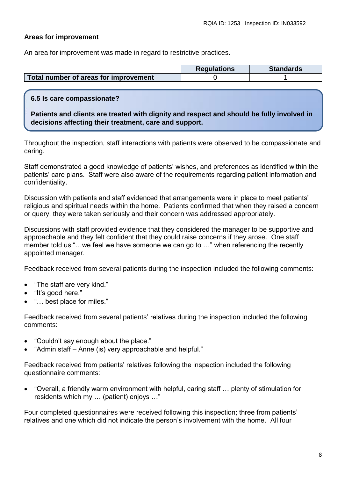#### **Areas for improvement**

An area for improvement was made in regard to restrictive practices.

|                                                  | <b>Regulations</b> | <b>Standards</b> |
|--------------------------------------------------|--------------------|------------------|
| Total number of areas for improvement $\sqrt{ }$ |                    |                  |

#### **6.5 Is care compassionate?**

**Patients and clients are treated with dignity and respect and should be fully involved in decisions affecting their treatment, care and support.**

Throughout the inspection, staff interactions with patients were observed to be compassionate and caring.

Staff demonstrated a good knowledge of patients' wishes, and preferences as identified within the patients' care plans. Staff were also aware of the requirements regarding patient information and confidentiality.

Discussion with patients and staff evidenced that arrangements were in place to meet patients' religious and spiritual needs within the home. Patients confirmed that when they raised a concern or query, they were taken seriously and their concern was addressed appropriately.

Discussions with staff provided evidence that they considered the manager to be supportive and approachable and they felt confident that they could raise concerns if they arose. One staff member told us "…we feel we have someone we can go to …" when referencing the recently appointed manager.

Feedback received from several patients during the inspection included the following comments:

- "The staff are very kind."
- "It's good here."
- "… best place for miles."

Feedback received from several patients' relatives during the inspection included the following comments:

- "Couldn't say enough about the place."
- "Admin staff Anne (is) very approachable and helpful."

Feedback received from patients' relatives following the inspection included the following questionnaire comments:

 "Overall, a friendly warm environment with helpful, caring staff … plenty of stimulation for residents which my … (patient) enjoys …"

Four completed questionnaires were received following this inspection; three from patients' relatives and one which did not indicate the person's involvement with the home. All four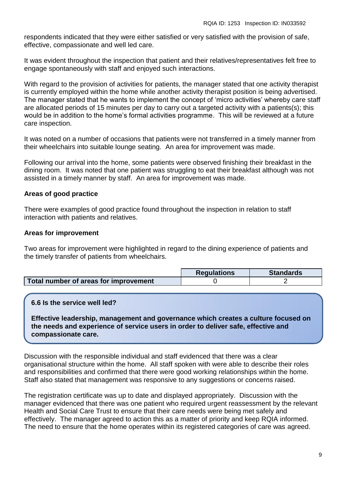respondents indicated that they were either satisfied or very satisfied with the provision of safe, effective, compassionate and well led care.

It was evident throughout the inspection that patient and their relatives/representatives felt free to engage spontaneously with staff and enjoyed such interactions.

With regard to the provision of activities for patients, the manager stated that one activity therapist is currently employed within the home while another activity therapist position is being advertised. The manager stated that he wants to implement the concept of 'micro activities' whereby care staff are allocated periods of 15 minutes per day to carry out a targeted activity with a patients(s); this would be in addition to the home's formal activities programme. This will be reviewed at a future care inspection.

It was noted on a number of occasions that patients were not transferred in a timely manner from their wheelchairs into suitable lounge seating. An area for improvement was made.

Following our arrival into the home, some patients were observed finishing their breakfast in the dining room. It was noted that one patient was struggling to eat their breakfast although was not assisted in a timely manner by staff. An area for improvement was made.

## **Areas of good practice**

There were examples of good practice found throughout the inspection in relation to staff interaction with patients and relatives.

### **Areas for improvement**

Two areas for improvement were highlighted in regard to the dining experience of patients and the timely transfer of patients from wheelchairs.

|                                       | <b>Requlations</b> | <b>Standards</b> |
|---------------------------------------|--------------------|------------------|
| Total number of areas for improvement |                    |                  |

### **6.6 Is the service well led?**

**Effective leadership, management and governance which creates a culture focused on the needs and experience of service users in order to deliver safe, effective and compassionate care.**

Discussion with the responsible individual and staff evidenced that there was a clear organisational structure within the home. All staff spoken with were able to describe their roles and responsibilities and confirmed that there were good working relationships within the home. Staff also stated that management was responsive to any suggestions or concerns raised.

The registration certificate was up to date and displayed appropriately. Discussion with the manager evidenced that there was one patient who required urgent reassessment by the relevant Health and Social Care Trust to ensure that their care needs were being met safely and effectively. The manager agreed to action this as a matter of priority and keep RQIA informed. The need to ensure that the home operates within its registered categories of care was agreed.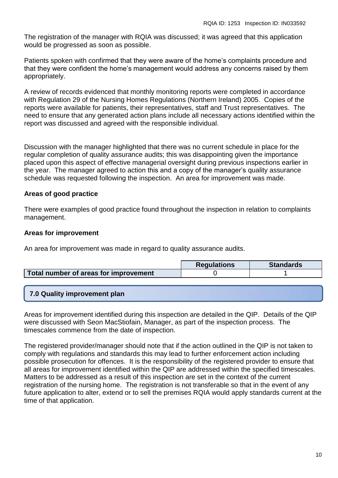The registration of the manager with RQIA was discussed; it was agreed that this application would be progressed as soon as possible.

Patients spoken with confirmed that they were aware of the home's complaints procedure and that they were confident the home's management would address any concerns raised by them appropriately.

A review of records evidenced that monthly monitoring reports were completed in accordance with Regulation 29 of the Nursing Homes Regulations (Northern Ireland) 2005. Copies of the reports were available for patients, their representatives, staff and Trust representatives. The need to ensure that any generated action plans include all necessary actions identified within the report was discussed and agreed with the responsible individual.

Discussion with the manager highlighted that there was no current schedule in place for the regular completion of quality assurance audits; this was disappointing given the importance placed upon this aspect of effective managerial oversight during previous inspections earlier in the year. The manager agreed to action this and a copy of the manager's quality assurance schedule was requested following the inspection. An area for improvement was made.

## **Areas of good practice**

There were examples of good practice found throughout the inspection in relation to complaints management.

## **Areas for improvement**

An area for improvement was made in regard to quality assurance audits.

|                                       | <b>Regulations</b> | <b>Standards</b> |
|---------------------------------------|--------------------|------------------|
| Total number of areas for improvement |                    |                  |

## **7.0 Quality improvement plan**

Areas for improvement identified during this inspection are detailed in the QIP. Details of the QIP were discussed with Seon MacStiofain, Manager, as part of the inspection process. The timescales commence from the date of inspection.

The registered provider/manager should note that if the action outlined in the QIP is not taken to comply with regulations and standards this may lead to further enforcement action including possible prosecution for offences. It is the responsibility of the registered provider to ensure that all areas for improvement identified within the QIP are addressed within the specified timescales. Matters to be addressed as a result of this inspection are set in the context of the current registration of the nursing home. The registration is not transferable so that in the event of any future application to alter, extend or to sell the premises RQIA would apply standards current at the time of that application.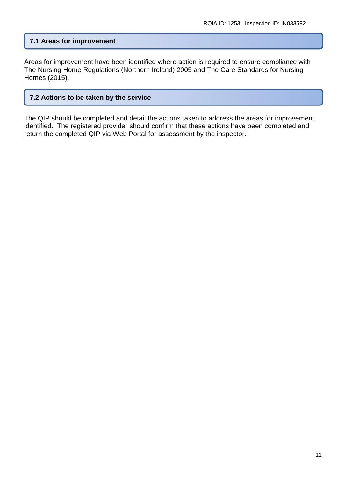## **7.1 Areas for improvement**

Areas for improvement have been identified where action is required to ensure compliance with The Nursing Home Regulations (Northern Ireland) 2005 and The Care Standards for Nursing Homes (2015).

#### **7.2 Actions to be taken by the service**

The QIP should be completed and detail the actions taken to address the areas for improvement identified. The registered provider should confirm that these actions have been completed and return the completed QIP via Web Portal for assessment by the inspector.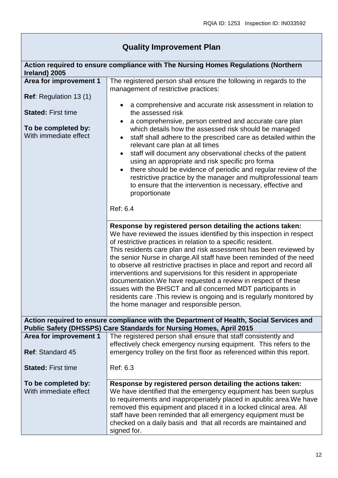| <b>Quality Improvement Plan</b> |  |  |  |
|---------------------------------|--|--|--|
|---------------------------------|--|--|--|

| Ireland) 2005                                | Action required to ensure compliance with The Nursing Homes Regulations (Northern                                                                                                                                                                                                                                                                                                                                                                                                                                                                                                                                                                                                                                                                  |
|----------------------------------------------|----------------------------------------------------------------------------------------------------------------------------------------------------------------------------------------------------------------------------------------------------------------------------------------------------------------------------------------------------------------------------------------------------------------------------------------------------------------------------------------------------------------------------------------------------------------------------------------------------------------------------------------------------------------------------------------------------------------------------------------------------|
| Area for improvement 1                       | The registered person shall ensure the following in regards to the<br>management of restrictive practices:                                                                                                                                                                                                                                                                                                                                                                                                                                                                                                                                                                                                                                         |
| <b>Ref:</b> Regulation 13 (1)                |                                                                                                                                                                                                                                                                                                                                                                                                                                                                                                                                                                                                                                                                                                                                                    |
| <b>Stated: First time</b>                    | a comprehensive and accurate risk assessment in relation to<br>the assessed risk                                                                                                                                                                                                                                                                                                                                                                                                                                                                                                                                                                                                                                                                   |
| To be completed by:<br>With immediate effect | a comprehensive, person centred and accurate care plan<br>which details how the assessed risk should be managed<br>staff shall adhere to the prescribed care as detailed within the<br>relevant care plan at all times<br>staff will document any observational checks of the patient<br>using an appropriate and risk specific pro forma<br>there should be evidence of periodic and regular review of the<br>restrictive practice by the manager and multiprofessional team<br>to ensure that the intervention is necessary, effective and<br>proportionate                                                                                                                                                                                      |
|                                              | Ref: 6.4                                                                                                                                                                                                                                                                                                                                                                                                                                                                                                                                                                                                                                                                                                                                           |
|                                              | Response by registered person detailing the actions taken:<br>We have reviewed the issues identified by this inspection in respect<br>of restrictive practices in relation to a specific resident.<br>This residents care plan and risk assessment has been reviewed by<br>the senior Nurse in charge. All staff have been reminded of the need<br>to observe all restrictive practises in place and report and record all<br>interventions and supervisions for this resident in approperiate<br>documentation. We have requested a review in respect of these<br>issues with the BHSCT and all concerned MDT participants in<br>residents care. This review is ongoing and is regularly monitored by<br>the home manager and responsible person. |
|                                              | Action required to ensure compliance with the Department of Health, Social Services and<br>Public Safety (DHSSPS) Care Standards for Nursing Homes, April 2015                                                                                                                                                                                                                                                                                                                                                                                                                                                                                                                                                                                     |
| Area for improvement 1                       | The registered person shall ensure that staff consistently and                                                                                                                                                                                                                                                                                                                                                                                                                                                                                                                                                                                                                                                                                     |
| <b>Ref: Standard 45</b>                      | effectively check emergency nursing equipment. This refers to the<br>emergency trolley on the first floor as referenced within this report.                                                                                                                                                                                                                                                                                                                                                                                                                                                                                                                                                                                                        |
| <b>Stated: First time</b>                    | Ref: 6.3                                                                                                                                                                                                                                                                                                                                                                                                                                                                                                                                                                                                                                                                                                                                           |
| To be completed by:<br>With immediate effect | Response by registered person detailing the actions taken:<br>We have identified that the emergency equipment has been surplus<br>to requirements and inapproperiately placed in apublic area. We have<br>removed this equipment and placed it in a locked clinical area. All<br>staff have been reminded that all emergency equipment must be<br>checked on a daily basis and that all records are maintained and<br>signed for.                                                                                                                                                                                                                                                                                                                  |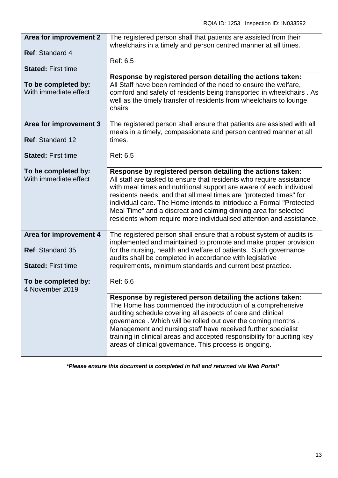| <b>Area for improvement 2</b>                     | The registered person shall that patients are assisted from their<br>wheelchairs in a timely and person centred manner at all times.                                                                                                                                                                                                                                                                                                                                                               |
|---------------------------------------------------|----------------------------------------------------------------------------------------------------------------------------------------------------------------------------------------------------------------------------------------------------------------------------------------------------------------------------------------------------------------------------------------------------------------------------------------------------------------------------------------------------|
| <b>Ref: Standard 4</b>                            |                                                                                                                                                                                                                                                                                                                                                                                                                                                                                                    |
| <b>Stated: First time</b>                         | Ref: 6.5                                                                                                                                                                                                                                                                                                                                                                                                                                                                                           |
| To be completed by:<br>With immediate effect      | Response by registered person detailing the actions taken:<br>All Staff have been reminded of the need to ensure the welfare,<br>comford and safety of residents being transported in wheelchairs . As<br>well as the timely transfer of residents from wheelchairs to lounge<br>chairs.                                                                                                                                                                                                           |
| Area for improvement 3<br>Ref: Standard 12        | The registered person shall ensure that patients are assisted with all<br>meals in a timely, compassionate and person centred manner at all<br>times.                                                                                                                                                                                                                                                                                                                                              |
| <b>Stated: First time</b>                         | Ref: 6.5                                                                                                                                                                                                                                                                                                                                                                                                                                                                                           |
| To be completed by:<br>With immediate effect      | Response by registered person detailing the actions taken:<br>All staff are tasked to ensure that residents who require assistance<br>with meal times and nutritional support are aware of each individual<br>residents needs, and that all meal times are "protected times" for<br>individual care. The Home intends to intrioduce a Formal "Protected<br>Meal Time" and a discreat and calming dinning area for selected<br>residents whom require more individualised attention and assistance. |
| Area for improvement 4<br><b>Ref: Standard 35</b> | The registered person shall ensure that a robust system of audits is<br>implemented and maintained to promote and make proper provision<br>for the nursing, health and welfare of patients. Such governance                                                                                                                                                                                                                                                                                        |
| <b>Stated: First time</b>                         | audits shall be completed in accordance with legislative<br>requirements, minimum standards and current best practice.                                                                                                                                                                                                                                                                                                                                                                             |
| To be completed by:<br>4 November 2019            | Ref: 6.6                                                                                                                                                                                                                                                                                                                                                                                                                                                                                           |
|                                                   | Response by registered person detailing the actions taken:<br>The Home has commenced the introduction of a comprehensive<br>auditing schedule covering all aspects of care and clinical<br>governance. Which will be rolled out over the coming months.<br>Management and nursing staff have received further specialist<br>training in clinical areas and accepted responsibility for auditing key<br>areas of clinical governance. This process is ongoing.                                      |

*\*Please ensure this document is completed in full and returned via Web Portal\**